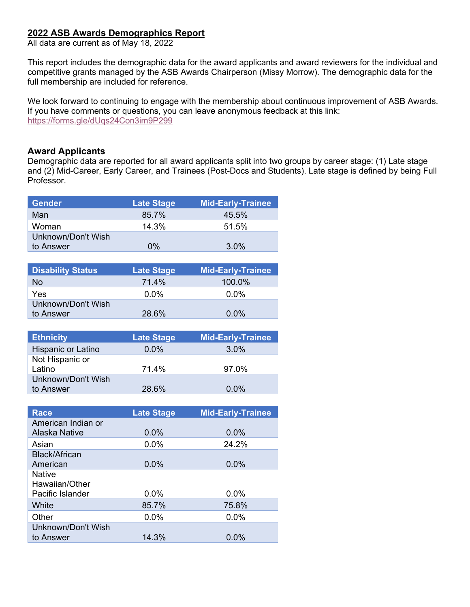## **2022 ASB Awards Demographics Report**

All data are current as of May 18, 2022

This report includes the demographic data for the award applicants and award reviewers for the individual and competitive grants managed by the ASB Awards Chairperson (Missy Morrow). The demographic data for the full membership are included for reference.

We look forward to continuing to engage with the membership about continuous improvement of ASB Awards. If you have comments or questions, you can leave anonymous feedback at this link: https://forms.gle/dUqs24Con3im9P299

## **Award Applicants**

Demographic data are reported for all award applicants split into two groups by career stage: (1) Late stage and (2) Mid-Career, Early Career, and Trainees (Post-Docs and Students). Late stage is defined by being Full Professor.

| <b>Gender</b>      | <b>Late Stage</b> | <b>Mid-Early-Trainee</b> |
|--------------------|-------------------|--------------------------|
| Man                | 85.7%             | 45.5%                    |
| Woman              | 14.3%             | 51.5%                    |
| Unknown/Don't Wish |                   |                          |
| to Answer          | $0\%$             | 3.0%                     |

| <b>Disability Status</b>        | <b>Late Stage</b> | <b>Mid-Early-Trainee</b> |
|---------------------------------|-------------------|--------------------------|
| No.                             | 71.4%             | 100.0%                   |
| Yes                             | $0.0\%$           | $0.0\%$                  |
| Unknown/Don't Wish<br>to Answer | 28.6%             | $0.0\%$                  |

| <b>Ethnicity</b>             | <b>Late Stage</b> | <b>Mid-Early-Trainee</b> |
|------------------------------|-------------------|--------------------------|
| Hispanic or Latino           | $0.0\%$           | 3.0%                     |
| Not Hispanic or              | 71.4%             |                          |
| Latino<br>Unknown/Don't Wish |                   | 97.0%                    |
| to Answer                    | 28.6%             | 0.0%                     |

| <b>Race</b>          | <b>Late Stage</b> | <b>Mid-Early-Trainee</b> |
|----------------------|-------------------|--------------------------|
| American Indian or   |                   |                          |
| <b>Alaska Native</b> | 0.0%              | 0.0%                     |
| Asian                | 0.0%              | 24.2%                    |
| <b>Black/African</b> |                   |                          |
| American             | 0.0%              | 0.0%                     |
| <b>Native</b>        |                   |                          |
| Hawaiian/Other       |                   |                          |
| Pacific Islander     | 0.0%              | 0.0%                     |
| White                | 85.7%             | 75.8%                    |
| Other                | 0.0%              | 0.0%                     |
| Unknown/Don't Wish   |                   |                          |
| to Answer            | 14.3%             | $0.0\%$                  |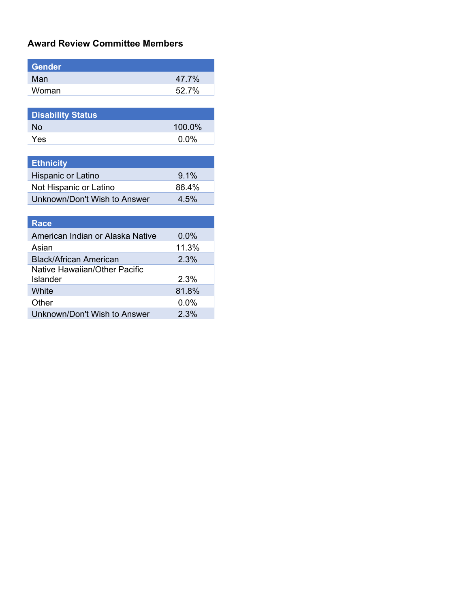## **Award Review Committee Members**

| Gender |       |
|--------|-------|
| Man    | 47.7% |
| Woman  | 52.7% |

| <b>Disability Status</b> |         |
|--------------------------|---------|
| No.                      | 100.0%  |
| Yes                      | $0.0\%$ |

| <b>Ethnicity</b>             |         |
|------------------------------|---------|
| Hispanic or Latino           | 9.1%    |
| Not Hispanic or Latino       | 86.4%   |
| Unknown/Don't Wish to Answer | $4.5\%$ |

| <b>Race</b>                               |         |
|-------------------------------------------|---------|
| American Indian or Alaska Native          | $0.0\%$ |
| Asian                                     | 11.3%   |
| <b>Black/African American</b>             | 2.3%    |
| Native Hawaiian/Other Pacific<br>Islander | 2.3%    |
| White                                     | 81.8%   |
| Other                                     | $0.0\%$ |
| Unknown/Don't Wish to Answer              | 2.3%    |